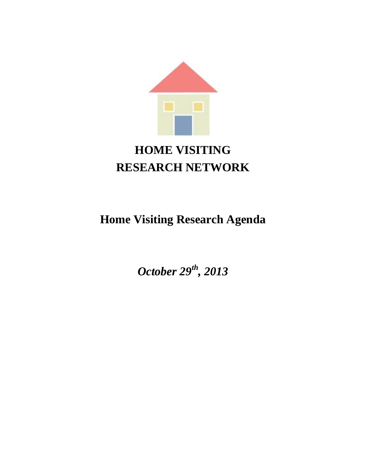

# **HOME VISITING RESEARCH NETWORK**

# **Home Visiting Research Agenda**

*October 29th, 2013*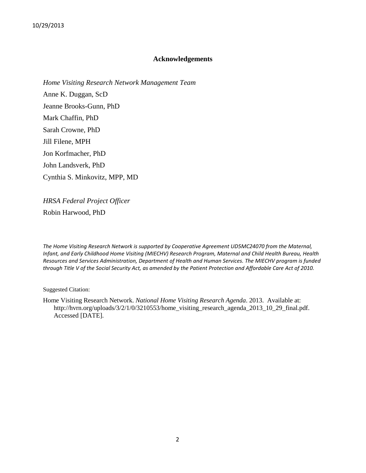#### **Acknowledgements**

*Home Visiting Research Network Management Team*  Anne K. Duggan, ScD Jeanne Brooks-Gunn, PhD Mark Chaffin, PhD Sarah Crowne, PhD Jill Filene, MPH Jon Korfmacher, PhD John Landsverk, PhD Cynthia S. Minkovitz, MPP, MD

*HRSA Federal Project Officer* Robin Harwood, PhD

*The Home Visiting Research Network is supported by Cooperative Agreement UD5MC24070 from the Maternal, Infant, and Early Childhood Home Visiting (MIECHV) Research Program, Maternal and Child Health Bureau, Health Resources and Services Administration, Department of Health and Human Services. The MIECHV program is funded through Title V of the Social Security Act, as amended by the Patient Protection and Affordable Care Act of 2010.*

Suggested Citation:

Home Visiting Research Network. *National Home Visiting Research Agenda*. 2013. Available at: http://hvrn.org/uploads/3/2/1/0/3210553/home\_visiting\_research\_agenda\_2013\_10\_29\_final.pdf. Accessed [DATE].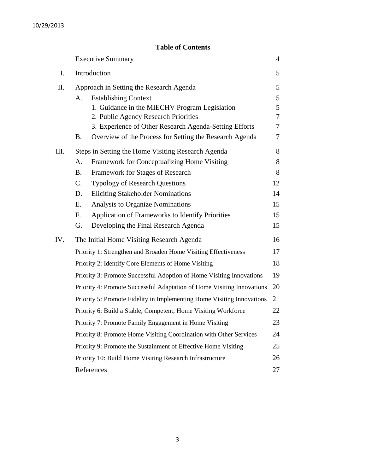# **Table of Contents**

|     | <b>Executive Summary</b>                                               |                                                         |    |  |  |
|-----|------------------------------------------------------------------------|---------------------------------------------------------|----|--|--|
| I.  | Introduction                                                           |                                                         |    |  |  |
| Π.  | Approach in Setting the Research Agenda                                |                                                         |    |  |  |
|     | <b>Establishing Context</b><br>А.                                      |                                                         |    |  |  |
|     |                                                                        | 1. Guidance in the MIECHV Program Legislation           | 5  |  |  |
|     |                                                                        | 2. Public Agency Research Priorities                    | 7  |  |  |
|     |                                                                        | 3. Experience of Other Research Agenda-Setting Efforts  | 7  |  |  |
|     | <b>B.</b>                                                              | Overview of the Process for Setting the Research Agenda | 7  |  |  |
| Ш.  |                                                                        | Steps in Setting the Home Visiting Research Agenda      | 8  |  |  |
|     | А.                                                                     | Framework for Conceptualizing Home Visiting             | 8  |  |  |
|     | <b>B.</b>                                                              | Framework for Stages of Research                        | 8  |  |  |
|     | $C_{\cdot}$                                                            | <b>Typology of Research Questions</b>                   | 12 |  |  |
|     | D.                                                                     | <b>Eliciting Stakeholder Nominations</b>                | 14 |  |  |
|     | Ε.                                                                     | Analysis to Organize Nominations                        | 15 |  |  |
|     | F.                                                                     | Application of Frameworks to Identify Priorities        | 15 |  |  |
|     | G.                                                                     | Developing the Final Research Agenda                    | 15 |  |  |
| IV. |                                                                        | The Initial Home Visiting Research Agenda               | 16 |  |  |
|     | Priority 1: Strengthen and Broaden Home Visiting Effectiveness         |                                                         |    |  |  |
|     | Priority 2: Identify Core Elements of Home Visiting                    |                                                         |    |  |  |
|     | Priority 3: Promote Successful Adoption of Home Visiting Innovations   |                                                         |    |  |  |
|     | Priority 4: Promote Successful Adaptation of Home Visiting Innovations |                                                         |    |  |  |
|     | Priority 5: Promote Fidelity in Implementing Home Visiting Innovations |                                                         |    |  |  |
|     | Priority 6: Build a Stable, Competent, Home Visiting Workforce         |                                                         |    |  |  |
|     | Priority 7: Promote Family Engagement in Home Visiting                 |                                                         |    |  |  |
|     | Priority 8: Promote Home Visiting Coordination with Other Services     |                                                         |    |  |  |
|     | Priority 9: Promote the Sustainment of Effective Home Visiting         |                                                         |    |  |  |
|     | Priority 10: Build Home Visiting Research Infrastructure               |                                                         |    |  |  |
|     |                                                                        | References                                              | 27 |  |  |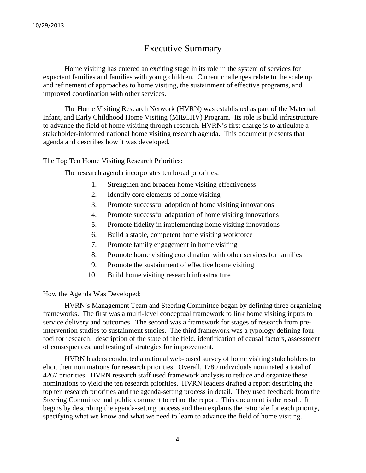# Executive Summary

Home visiting has entered an exciting stage in its role in the system of services for expectant families and families with young children. Current challenges relate to the scale up and refinement of approaches to home visiting, the sustainment of effective programs, and improved coordination with other services.

The Home Visiting Research Network (HVRN) was established as part of the Maternal, Infant, and Early Childhood Home Visiting (MIECHV) Program. Its role is build infrastructure to advance the field of home visiting through research. HVRN's first charge is to articulate a stakeholder-informed national home visiting research agenda. This document presents that agenda and describes how it was developed.

## The Top Ten Home Visiting Research Priorities:

The research agenda incorporates ten broad priorities:

- 1. Strengthen and broaden home visiting effectiveness
- 2. Identify core elements of home visiting
- 3. Promote successful adoption of home visiting innovations
- 4. Promote successful adaptation of home visiting innovations
- 5. Promote fidelity in implementing home visiting innovations
- 6. Build a stable, competent home visiting workforce
- 7. Promote family engagement in home visiting
- 8. Promote home visiting coordination with other services for families
- 9. Promote the sustainment of effective home visiting
- 10. Build home visiting research infrastructure

## How the Agenda Was Developed:

HVRN's Management Team and Steering Committee began by defining three organizing frameworks. The first was a multi-level conceptual framework to link home visiting inputs to service delivery and outcomes. The second was a framework for stages of research from preintervention studies to sustainment studies. The third framework was a typology defining four foci for research: description of the state of the field, identification of causal factors, assessment of consequences, and testing of strategies for improvement.

HVRN leaders conducted a national web-based survey of home visiting stakeholders to elicit their nominations for research priorities. Overall, 1780 individuals nominated a total of 4267 priorities. HVRN research staff used framework analysis to reduce and organize these nominations to yield the ten research priorities. HVRN leaders drafted a report describing the top ten research priorities and the agenda-setting process in detail. They used feedback from the Steering Committee and public comment to refine the report. This document is the result. It begins by describing the agenda-setting process and then explains the rationale for each priority, specifying what we know and what we need to learn to advance the field of home visiting.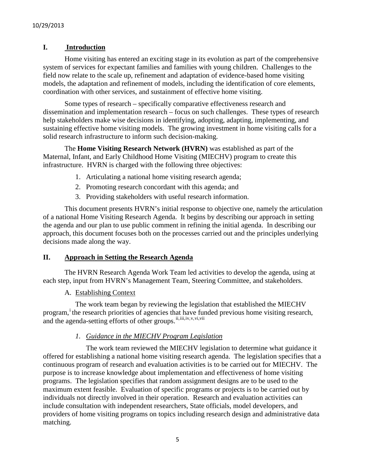# **I. Introduction**

Home visiting has entered an exciting stage in its evolution as part of the comprehensive system of services for expectant families and families with young children. Challenges to the field now relate to the scale up, refinement and adaptation of evidence-based home visiting models, the adaptation and refinement of models, including the identification of core elements, coordination with other services, and sustainment of effective home visiting.

Some types of research – specifically comparative effectiveness research and dissemination and implementation research – focus on such challenges. These types of research help stakeholders make wise decisions in identifying, adopting, adapting, implementing, and sustaining effective home visiting models. The growing investment in home visiting calls for a solid research infrastructure to inform such decision-making.

The **Home Visiting Research Network (HVRN)** was established as part of the Maternal, Infant, and Early Childhood Home Visiting (MIECHV) program to create this infrastructure. HVRN is charged with the following three objectives:

- 1. Articulating a national home visiting research agenda;
- 2. Promoting research concordant with this agenda; and
- 3. Providing stakeholders with useful research information.

This document presents HVRN's initial response to objective one, namely the articulation of a national Home Visiting Research Agenda. It begins by describing our approach in setting the agenda and our plan to use public comment in refining the initial agenda. In describing our approach, this document focuses both on the processes carried out and the principles underlying decisions made along the way.

## **II. Approach in Setting the Research Agenda**

The HVRN Research Agenda Work Team led activities to develop the agenda, using at each step, input from HVRN's Management Team, Steering Committee, and stakeholders.

## A. Establishing Context

The work team began by reviewing the legislation that established the MIECHV program,<sup>[i](#page-26-0)</sup> the research priorities of agencies that have funded previous home visiting research, and the agenda-setting efforts of other groups. [ii,](#page-26-1) [iii](#page-26-2), i[v](#page-26-4), v, [vi,](#page-26-5) vii

# <span id="page-4-4"></span><span id="page-4-3"></span><span id="page-4-2"></span><span id="page-4-1"></span><span id="page-4-0"></span>*1. Guidance in the MIECHV Program Legislation*

The work team reviewed the MIECHV legislation to determine what guidance it offered for establishing a national home visiting research agenda. The legislation specifies that a continuous program of research and evaluation activities is to be carried out for MIECHV. The purpose is to increase knowledge about implementation and effectiveness of home visiting programs. The legislation specifies that random assignment designs are to be used to the maximum extent feasible. Evaluation of specific programs or projects is to be carried out by individuals not directly involved in their operation. Research and evaluation activities can include consultation with independent researchers, State officials, model developers, and providers of home visiting programs on topics including research design and administrative data matching.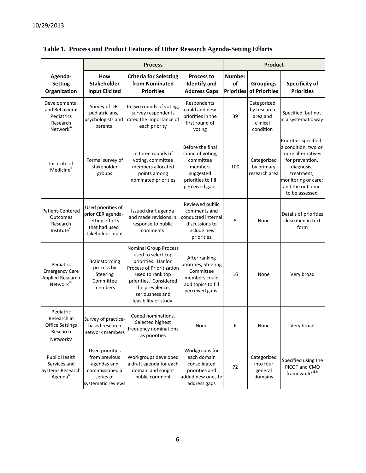|                                                                                                                                           | <b>Process</b>                                                                                       |                                                                                                                                                                                                                    |                                                                                                                   |                                          | <b>Product</b>                                                  |                                                                                                                                                                              |  |  |
|-------------------------------------------------------------------------------------------------------------------------------------------|------------------------------------------------------------------------------------------------------|--------------------------------------------------------------------------------------------------------------------------------------------------------------------------------------------------------------------|-------------------------------------------------------------------------------------------------------------------|------------------------------------------|-----------------------------------------------------------------|------------------------------------------------------------------------------------------------------------------------------------------------------------------------------|--|--|
| Agenda-<br><b>Setting</b><br>Organization                                                                                                 | How<br><b>Stakeholder</b><br><b>Input Elicited</b>                                                   | <b>Criteria for Selecting</b><br>from Nominated<br><b>Priorities</b>                                                                                                                                               | <b>Process to</b><br><b>Identify and</b><br><b>Address Gaps</b>                                                   | <b>Number</b><br>of<br><b>Priorities</b> | <b>Groupings</b><br>of Priorities                               | <b>Specificity of</b><br><b>Priorities</b>                                                                                                                                   |  |  |
| Developmental<br>Survey of DB<br>and Behavioral<br>pediatricians,<br>Pediatrics<br>psychologists and<br>Research<br>parents<br>Networkiii |                                                                                                      | In two rounds of voting,<br>survey respondents<br>rated the importance of<br>each priority                                                                                                                         | Respondents<br>could add new<br>priorities in the<br>first round of<br>voting                                     | 39                                       | Categorized<br>by research<br>area and<br>clinical<br>condition | Specified, but not<br>in a systematic way                                                                                                                                    |  |  |
| Institute of<br>Medicineii                                                                                                                | Formal survey of<br>stakeholder<br>groups                                                            | In three rounds of<br>voting, committee<br>members allocated<br>points among<br>nominated priorities                                                                                                               | Before the final<br>round of voting,<br>committee<br>members<br>suggested<br>priorities to fill<br>perceived gaps | 100                                      | Categorized<br>by primary<br>research area                      | Priorities specified:<br>a condition; two or<br>more alternatives<br>for prevention,<br>diagnosis,<br>treatment,<br>monitoring or care;<br>and the outcome<br>to be assessed |  |  |
| Patient-Centered<br><b>Outcomes</b><br>Research<br>Institute <sup>vi</sup>                                                                | Used priorities of<br>prior CER agenda-<br>setting efforts<br>that had used<br>stakeholder input     | Issued draft agenda<br>and made revisions in<br>response to public<br>comments                                                                                                                                     | Reviewed public<br>comments and<br>conducted internal<br>discussions to<br>include new<br>priorities              | 5                                        | None                                                            | Details of priorities<br>described in text<br>form                                                                                                                           |  |  |
| Pediatric<br><b>Emergency Care</b><br><b>Applied Research</b><br>Network <sup>vii</sup>                                                   | Brainstorming<br>process by<br>Steering<br>Committee<br>members                                      | <b>Nominal Group Process</b><br>used to select top<br>priorities. Hanlon<br>Process of Prioritization<br>used to rank top<br>priorities. Considered<br>the prevalence,<br>seriousness and<br>feasibility of study. | After ranking<br>priorities, Steering<br>Committee<br>members could<br>add topics to fill<br>perceived gaps.      | 16                                       | None                                                            | Very broad                                                                                                                                                                   |  |  |
| Pediatric<br>Research in<br><b>Office Settings</b><br>Research<br>NetworkV                                                                | Survey of practice-<br>based research<br>network members                                             | Coded nominations.<br>Selected highest<br>frequency nominations<br>as priorities                                                                                                                                   | None                                                                                                              | 6                                        | None                                                            | Very broad                                                                                                                                                                   |  |  |
| Public Health<br>Services and<br><b>Systems Research</b><br>Agenda <sup>iv</sup>                                                          | Used priorities<br>from previous<br>agendas and<br>commissioned a<br>series of<br>systematic reviews | Workgroups developed<br>a draft agenda for each<br>domain and sought<br>public comment                                                                                                                             | Workgroups for<br>each domain<br>consolidated<br>priorities and<br>added new ones to<br>address gaps              | 72                                       | Categorized<br>into four<br>general<br>domains                  | Specified using the<br>PICOT and CMO<br>framework <sup>viii, ix</sup>                                                                                                        |  |  |

# **Table 1. Process and Product Features of Other Research Agenda-Setting Efforts**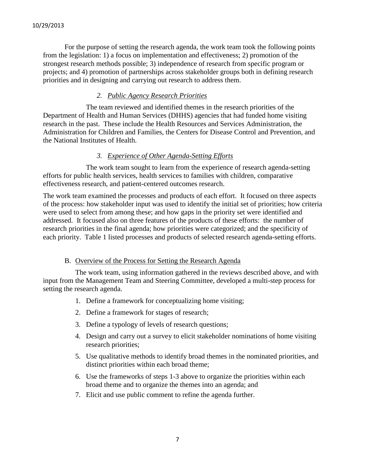For the purpose of setting the research agenda, the work team took the following points from the legislation: 1) a focus on implementation and effectiveness; 2) promotion of the strongest research methods possible; 3) independence of research from specific program or projects; and 4) promotion of partnerships across stakeholder groups both in defining research priorities and in designing and carrying out research to address them.

# *2. Public Agency Research Priorities*

The team reviewed and identified themes in the research priorities of the Department of Health and Human Services (DHHS) agencies that had funded home visiting research in the past. These include the Health Resources and Services Administration, the Administration for Children and Families, the Centers for Disease Control and Prevention, and the National Institutes of Health.

## *3. Experience of Other Agenda-Setting Efforts*

The work team sought to learn from the experience of research agenda-setting efforts for public health services, health services to families with children, comparative effectiveness research, and patient-centered outcomes research.

The work team examined the processes and products of each effort. It focused on three aspects of the process: how stakeholder input was used to identify the initial set of priorities; how criteria were used to select from among these; and how gaps in the priority set were identified and addressed. It focused also on three features of the products of these efforts: the number of research priorities in the final agenda; how priorities were categorized; and the specificity of each priority. Table 1 listed processes and products of selected research agenda-setting efforts.

#### B. Overview of the Process for Setting the Research Agenda

The work team, using information gathered in the reviews described above, and with input from the Management Team and Steering Committee, developed a multi-step process for setting the research agenda.

- 1. Define a framework for conceptualizing home visiting;
- 2. Define a framework for stages of research;
- 3. Define a typology of levels of research questions;
- 4. Design and carry out a survey to elicit stakeholder nominations of home visiting research priorities;
- 5. Use qualitative methods to identify broad themes in the nominated priorities, and distinct priorities within each broad theme;
- 6. Use the frameworks of steps 1-3 above to organize the priorities within each broad theme and to organize the themes into an agenda; and
- 7. Elicit and use public comment to refine the agenda further.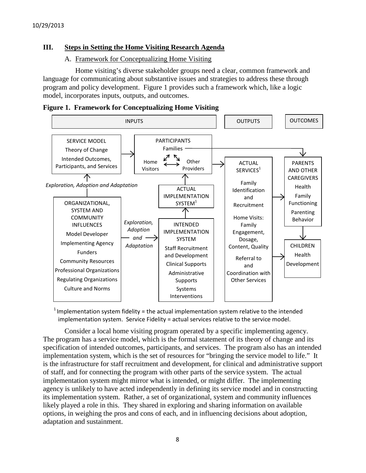# **III. Steps in Setting the Home Visiting Research Agenda**

# A. Framework for Conceptualizing Home Visiting

Home visiting's diverse stakeholder groups need a clear, common framework and language for communicating about substantive issues and strategies to address these through program and policy development. Figure 1 provides such a framework which, like a logic model, incorporates inputs, outputs, and outcomes.

**Figure 1. Framework for Conceptualizing Home Visiting**



<sup>1</sup> Implementation system fidelity = the actual implementation system relative to the intended implementation system. Service Fidelity = actual services relative to the service model.

Consider a local home visiting program operated by a specific implementing agency. The program has a service model, which is the formal statement of its theory of change and its specification of intended outcomes, participants, and services. The program also has an intended implementation system, which is the set of resources for "bringing the service model to life." It is the infrastructure for staff recruitment and development, for clinical and administrative support of staff, and for connecting the program with other parts of the service system. The actual implementation system might mirror what is intended, or might differ. The implementing agency is unlikely to have acted independently in defining its service model and in constructing its implementation system. Rather, a set of organizational, system and community influences likely played a role in this. They shared in exploring and sharing information on available options, in weighing the pros and cons of each, and in influencing decisions about adoption, adaptation and sustainment.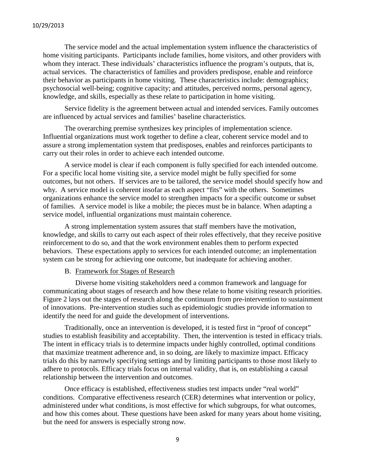The service model and the actual implementation system influence the characteristics of home visiting participants. Participants include families, home visitors, and other providers with whom they interact. These individuals' characteristics influence the program's outputs, that is, actual services. The characteristics of families and providers predispose, enable and reinforce their behavior as participants in home visiting. These characteristics include: demographics; psychosocial well-being; cognitive capacity; and attitudes, perceived norms, personal agency, knowledge, and skills, especially as these relate to participation in home visiting.

Service fidelity is the agreement between actual and intended services. Family outcomes are influenced by actual services and families' baseline characteristics.

The overarching premise synthesizes key principles of implementation science. Influential organizations must work together to define a clear, coherent service model and to assure a strong implementation system that predisposes, enables and reinforces participants to carry out their roles in order to achieve each intended outcome.

A service model is clear if each component is fully specified for each intended outcome. For a specific local home visiting site, a service model might be fully specified for some outcomes, but not others. If services are to be tailored, the service model should specify how and why. A service model is coherent insofar as each aspect "fits" with the others. Sometimes organizations enhance the service model to strengthen impacts for a specific outcome or subset of families. A service model is like a mobile; the pieces must be in balance. When adapting a service model, influential organizations must maintain coherence.

A strong implementation system assures that staff members have the motivation, knowledge, and skills to carry out each aspect of their roles effectively, that they receive positive reinforcement to do so, and that the work environment enables them to perform expected behaviors. These expectations apply to services for each intended outcome; an implementation system can be strong for achieving one outcome, but inadequate for achieving another.

## B. Framework for Stages of Research

Diverse home visiting stakeholders need a common framework and language for communicating about stages of research and how these relate to home visiting research priorities. Figure 2 lays out the stages of research along the continuum from pre-intervention to sustainment of innovations. Pre-intervention studies such as epidemiologic studies provide information to identify the need for and guide the development of interventions.

Traditionally, once an intervention is developed, it is tested first in "proof of concept" studies to establish feasibility and acceptability. Then, the intervention is tested in efficacy trials. The intent in efficacy trials is to determine impacts under highly controlled, optimal conditions that maximize treatment adherence and, in so doing, are likely to maximize impact. Efficacy trials do this by narrowly specifying settings and by limiting participants to those most likely to adhere to protocols. Efficacy trials focus on internal validity, that is, on establishing a causal relationship between the intervention and outcomes.

Once efficacy is established, effectiveness studies test impacts under "real world" conditions. Comparative effectiveness research (CER) determines what intervention or policy, administered under what conditions, is most effective for which subgroups, for what outcomes, and how this comes about. These questions have been asked for many years about home visiting, but the need for answers is especially strong now.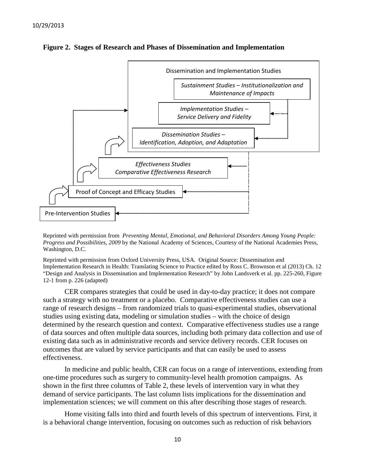



Reprinted with permission from *Preventing Mental, Emotional, and Behavioral Disorders Among Young People: Progress and Possibilities, 2009* by the National Academy of Sciences, Courtesy of the National Academies Press, Washington, D.C.

Reprinted with permission from Oxford University Press, USA. Original Source: Dissemination and Implementation Research in Health: Translating Science to Practice edited by Ross C. Brownson et al (2013) Ch. 12 "Design and Analysis in Dissemination and Implementation Research" by John Landsverk et al. pp. 225-260, Figure 12-1 from p. 226 (adapted)

CER compares strategies that could be used in day-to-day practice; it does not compare such a strategy with no treatment or a placebo. Comparative effectiveness studies can use a range of research designs – from randomized trials to quasi-experimental studies, observational studies using existing data, modeling or simulation studies – with the choice of design determined by the research question and context. Comparative effectiveness studies use a range of data sources and often multiple data sources, including both primary data collection and use of existing data such as in administrative records and service delivery records. CER focuses on outcomes that are valued by service participants and that can easily be used to assess effectiveness.

In medicine and public health, CER can focus on a range of interventions, extending from one-time procedures such as surgery to community-level health promotion campaigns. As shown in the first three columns of Table 2, these levels of intervention vary in what they demand of service participants. The last column lists implications for the dissemination and implementation sciences; we will comment on this after describing those stages of research.

Home visiting falls into third and fourth levels of this spectrum of interventions. First, it is a behavioral change intervention, focusing on outcomes such as reduction of risk behaviors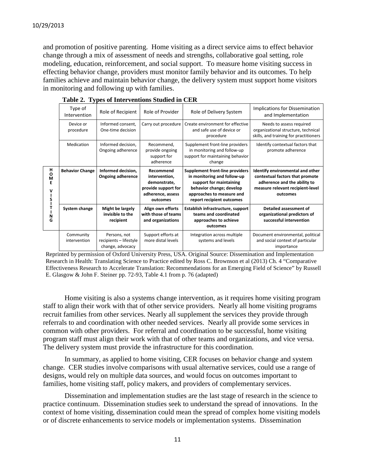and promotion of positive parenting. Home visiting as a direct service aims to effect behavior change through a mix of assessment of needs and strengths, collaborative goal setting, role modeling, education, reinforcement, and social support. To measure home visiting success in effecting behavior change, providers must monitor family behavior and its outcomes. To help families achieve and maintain behavior change, the delivery system must support home visitors in monitoring and following up with families.

|                       | Type of<br>Intervention   | Role of Recipient                                          | Role of Provider                                                                                   | Role of Delivery System                                                                                                                                                         | Implications for Dissemination<br>and Implementation                                                                                                |  |
|-----------------------|---------------------------|------------------------------------------------------------|----------------------------------------------------------------------------------------------------|---------------------------------------------------------------------------------------------------------------------------------------------------------------------------------|-----------------------------------------------------------------------------------------------------------------------------------------------------|--|
|                       | Device or<br>procedure    | Informed consent,<br>One-time decision                     | Carry out procedure                                                                                | Create environment for effective<br>and safe use of device or<br>procedure                                                                                                      | Needs to assess required<br>organizational structure, technical<br>skills, and training for practitioners                                           |  |
|                       | Medication                | Informed decision,<br>Ongoing adherence                    | Recommend,<br>provide ongoing<br>support for<br>adherence                                          | Supplement front-line providers<br>in monitoring and follow-up<br>support for maintaining behavior<br>change                                                                    | Identify contextual factors that<br>promote adherence                                                                                               |  |
| н<br>O<br>M<br>v<br>S | <b>Behavior Change</b>    | Informed decision,<br><b>Ongoing adherence</b>             | Recommend<br>intervention,<br>demonstrate,<br>provide support for<br>adherence, assess<br>outcomes | Supplement front-line providers<br>in monitoring and follow-up<br>support for maintaining<br>behavior change; develop<br>approaches to measure and<br>report recipient outcomes | Identify environmental and other<br>contextual factors that promote<br>adherence and the ability to<br>measure relevant recipient-level<br>outcomes |  |
| N<br>G                | System change             | Might be largely<br>invisible to the<br>recipient          | Align own efforts<br>with those of teams<br>and organizations                                      | Establish infrastructure, support<br>teams and coordinated<br>approaches to achieve<br>outcomes                                                                                 | Detailed assessment of<br>organizational predictors of<br>successful intervention                                                                   |  |
|                       | Community<br>intervention | Persons, not<br>recipients - lifestyle<br>change, advocacy | Support efforts at<br>more distal levels                                                           | Integration across multiple<br>systems and levels                                                                                                                               | Document environmental, political<br>and social context of particular<br>importance                                                                 |  |

**Table 2. Types of Interventions Studied in CER**

Reprinted by permission of Oxford University Press, USA. Original Source: Dissemination and Implementation Research in Health: Translating Science to Practice edited by Ross C. Brownson et al (2013) Ch. 4 "Comparative Effectiveness Research to Accelerate Translation: Recommendations for an Emerging Field of Science" by Russell E. Glasgow & John F. Steiner pp. 72-93, Table 4.1 from p. 76 (adapted)

Home visiting is also a systems change intervention, as it requires home visiting program staff to align their work with that of other service providers. Nearly all home visiting programs recruit families from other services. Nearly all supplement the services they provide through referrals to and coordination with other needed services. Nearly all provide some services in common with other providers. For referral and coordination to be successful, home visiting program staff must align their work with that of other teams and organizations, and vice versa. The delivery system must provide the infrastructure for this coordination.

In summary, as applied to home visiting, CER focuses on behavior change and system change. CER studies involve comparisons with usual alternative services, could use a range of designs, would rely on multiple data sources, and would focus on outcomes important to families, home visiting staff, policy makers, and providers of complementary services.

Dissemination and implementation studies are the last stage of research in the science to practice continuum. Dissemination studies seek to understand the spread of innovations. In the context of home visiting, dissemination could mean the spread of complex home visiting models or of discrete enhancements to service models or implementation systems. Dissemination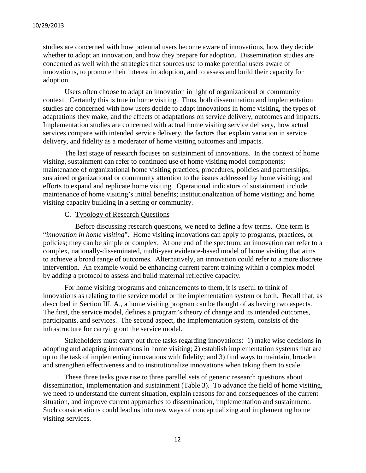studies are concerned with how potential users become aware of innovations, how they decide whether to adopt an innovation, and how they prepare for adoption. Dissemination studies are concerned as well with the strategies that sources use to make potential users aware of innovations, to promote their interest in adoption, and to assess and build their capacity for adoption.

Users often choose to adapt an innovation in light of organizational or community context. Certainly this is true in home visiting. Thus, both dissemination and implementation studies are concerned with how users decide to adapt innovations in home visiting, the types of adaptations they make, and the effects of adaptations on service delivery, outcomes and impacts. Implementation studies are concerned with actual home visiting service delivery, how actual services compare with intended service delivery, the factors that explain variation in service delivery, and fidelity as a moderator of home visiting outcomes and impacts.

The last stage of research focuses on sustainment of innovations. In the context of home visiting, sustainment can refer to continued use of home visiting model components; maintenance of organizational home visiting practices, procedures, policies and partnerships; sustained organizational or community attention to the issues addressed by home visiting; and efforts to expand and replicate home visiting. Operational indicators of sustainment include maintenance of home visiting's initial benefits; institutionalization of home visiting; and home visiting capacity building in a setting or community.

#### C. Typology of Research Questions

Before discussing research questions, we need to define a few terms. One term is "*innovation in home visiting*". Home visiting innovations can apply to programs, practices, or policies; they can be simple or complex. At one end of the spectrum, an innovation can refer to a complex, nationally-disseminated, multi-year evidence-based model of home visiting that aims to achieve a broad range of outcomes. Alternatively, an innovation could refer to a more discrete intervention. An example would be enhancing current parent training within a complex model by adding a protocol to assess and build maternal reflective capacity.

For home visiting programs and enhancements to them, it is useful to think of innovations as relating to the service model or the implementation system or both. Recall that, as described in Section III. A., a home visiting program can be thought of as having two aspects. The first, the service model, defines a program's theory of change and its intended outcomes, participants, and services. The second aspect, the implementation system, consists of the infrastructure for carrying out the service model.

Stakeholders must carry out three tasks regarding innovations: 1) make wise decisions in adopting and adapting innovations in home visiting; 2) establish implementation systems that are up to the task of implementing innovations with fidelity; and 3) find ways to maintain, broaden and strengthen effectiveness and to institutionalize innovations when taking them to scale.

These three tasks give rise to three parallel sets of generic research questions about dissemination, implementation and sustainment (Table 3). To advance the field of home visiting, we need to understand the current situation, explain reasons for and consequences of the current situation, and improve current approaches to dissemination, implementation and sustainment. Such considerations could lead us into new ways of conceptualizing and implementing home visiting services.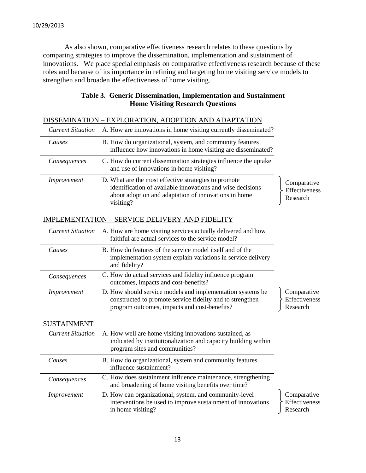As also shown, comparative effectiveness research relates to these questions by comparing strategies to improve the dissemination, implementation and sustainment of innovations. We place special emphasis on comparative effectiveness research because of these roles and because of its importance in refining and targeting home visiting service models to strengthen and broaden the effectiveness of home visiting.

| DISSEMINATION – EXPLORATION, ADOPTION AND ADAPTATION |                                                                                                                                                                                         |                                          |  |  |  |  |
|------------------------------------------------------|-----------------------------------------------------------------------------------------------------------------------------------------------------------------------------------------|------------------------------------------|--|--|--|--|
| <b>Current Situation</b>                             | A. How are innovations in home visiting currently disseminated?                                                                                                                         |                                          |  |  |  |  |
| Causes                                               | B. How do organizational, system, and community features<br>influence how innovations in home visiting are disseminated?                                                                |                                          |  |  |  |  |
| Consequences                                         | C. How do current dissemination strategies influence the uptake<br>and use of innovations in home visiting?                                                                             |                                          |  |  |  |  |
| Improvement                                          | D. What are the most effective strategies to promote<br>identification of available innovations and wise decisions<br>about adoption and adaptation of innovations in home<br>visiting? | Comparative<br>Effectiveness<br>Research |  |  |  |  |
|                                                      | <b>IMPLEMENTATION - SERVICE DELIVERY AND FIDELITY</b>                                                                                                                                   |                                          |  |  |  |  |
| <b>Current Situation</b>                             | A. How are home visiting services actually delivered and how<br>faithful are actual services to the service model?                                                                      |                                          |  |  |  |  |
| Causes                                               | B. How do features of the service model itself and of the<br>implementation system explain variations in service delivery<br>and fidelity?                                              |                                          |  |  |  |  |
| Consequences                                         | C. How do actual services and fidelity influence program<br>outcomes, impacts and cost-benefits?                                                                                        |                                          |  |  |  |  |
| Improvement                                          | D. How should service models and implementation systems be<br>constructed to promote service fidelity and to strengthen<br>program outcomes, impacts and cost-benefits?                 | Comparative<br>Effectiveness<br>Research |  |  |  |  |
| <b>SUSTAINMENT</b>                                   |                                                                                                                                                                                         |                                          |  |  |  |  |
| <b>Current Situation</b>                             | A. How well are home visiting innovations sustained, as<br>indicated by institutionalization and capacity building within<br>program sites and communities?                             |                                          |  |  |  |  |
| Causes                                               | B. How do organizational, system and community features<br>influence sustainment?                                                                                                       |                                          |  |  |  |  |
| Consequences                                         | C. How does sustainment influence maintenance, strengthening<br>and broadening of home visiting benefits over time?                                                                     |                                          |  |  |  |  |
| Improvement                                          | D. How can organizational, system, and community-level<br>interventions be used to improve sustainment of innovations<br>in home visiting?                                              | Comparative<br>Effectiveness<br>Research |  |  |  |  |

# **Table 3. Generic Dissemination, Implementation and Sustainment Home Visiting Research Questions**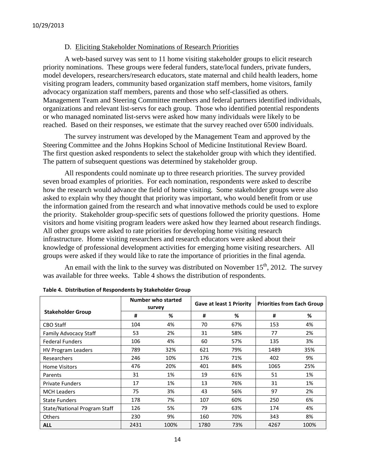#### D. Eliciting Stakeholder Nominations of Research Priorities

A web-based survey was sent to 11 home visiting stakeholder groups to elicit research priority nominations. These groups were federal funders, state/local funders, private funders, model developers, researchers/research educators, state maternal and child health leaders, home visiting program leaders, community based organization staff members, home visitors, family advocacy organization staff members, parents and those who self-classified as others. Management Team and Steering Committee members and federal partners identified individuals, organizations and relevant list-servs for each group. Those who identified potential respondents or who managed nominated list-servs were asked how many individuals were likely to be reached. Based on their responses, we estimate that the survey reached over 6500 individuals.

The survey instrument was developed by the Management Team and approved by the Steering Committee and the Johns Hopkins School of Medicine Institutional Review Board. The first question asked respondents to select the stakeholder group with which they identified. The pattern of subsequent questions was determined by stakeholder group.

All respondents could nominate up to three research priorities. The survey provided seven broad examples of priorities. For each nomination, respondents were asked to describe how the research would advance the field of home visiting. Some stakeholder groups were also asked to explain why they thought that priority was important, who would benefit from or use the information gained from the research and what innovative methods could be used to explore the priority. Stakeholder group-specific sets of questions followed the priority questions. Home visitors and home visiting program leaders were asked how they learned about research findings. All other groups were asked to rate priorities for developing home visiting research infrastructure. Home visiting researchers and research educators were asked about their knowledge of professional development activities for emerging home visiting researchers. All groups were asked if they would like to rate the importance of priorities in the final agenda.

An email with the link to the survey was distributed on November  $15<sup>th</sup>$ , 2012. The survey was available for three weeks. Table 4 shows the distribution of respondents.

|                              | Number who started<br>survey |      | <b>Gave at least 1 Priority</b> |     | <b>Priorities from Each Group</b> |      |
|------------------------------|------------------------------|------|---------------------------------|-----|-----------------------------------|------|
| <b>Stakeholder Group</b>     | #                            | %    | #                               | %   | #                                 | %    |
| <b>CBO Staff</b>             | 104                          | 4%   | 70                              | 67% | 153                               | 4%   |
| Family Advocacy Staff        | 53                           | 2%   | 31                              | 58% | 77                                | 2%   |
| <b>Federal Funders</b>       | 106                          | 4%   | 60                              | 57% | 135                               | 3%   |
| <b>HV Program Leaders</b>    | 789                          | 32%  | 621                             | 79% | 1489                              | 35%  |
| Researchers                  | 246                          | 10%  | 176                             | 71% | 402                               | 9%   |
| <b>Home Visitors</b>         | 476                          | 20%  | 401                             | 84% | 1065                              | 25%  |
| Parents                      | 31                           | 1%   | 19                              | 61% | 51                                | 1%   |
| <b>Private Funders</b>       | 17                           | 1%   | 13                              | 76% | 31                                | 1%   |
| <b>MCH Leaders</b>           | 75                           | 3%   | 43                              | 56% | 97                                | 2%   |
| <b>State Funders</b>         | 178                          | 7%   | 107                             | 60% | 250                               | 6%   |
| State/National Program Staff | 126                          | 5%   | 79                              | 63% | 174                               | 4%   |
| <b>Others</b>                | 230                          | 9%   | 160                             | 70% | 343                               | 8%   |
| <b>ALL</b>                   | 2431                         | 100% | 1780                            | 73% | 4267                              | 100% |

**Table 4. Distribution of Respondents by Stakeholder Group**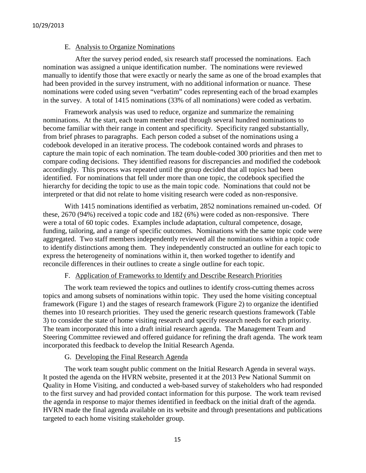#### E. Analysis to Organize Nominations

After the survey period ended, six research staff processed the nominations. Each nomination was assigned a unique identification number. The nominations were reviewed manually to identify those that were exactly or nearly the same as one of the broad examples that had been provided in the survey instrument, with no additional information or nuance. These nominations were coded using seven "verbatim" codes representing each of the broad examples in the survey. A total of 1415 nominations (33% of all nominations) were coded as verbatim.

Framework analysis was used to reduce, organize and summarize the remaining nominations. At the start, each team member read through several hundred nominations to become familiar with their range in content and specificity. Specificity ranged substantially, from brief phrases to paragraphs. Each person coded a subset of the nominations using a codebook developed in an iterative process. The codebook contained words and phrases to capture the main topic of each nomination. The team double-coded 300 priorities and then met to compare coding decisions. They identified reasons for discrepancies and modified the codebook accordingly. This process was repeated until the group decided that all topics had been identified. For nominations that fell under more than one topic, the codebook specified the hierarchy for deciding the topic to use as the main topic code. Nominations that could not be interpreted or that did not relate to home visiting research were coded as non-responsive.

With 1415 nominations identified as verbatim, 2852 nominations remained un-coded. Of these, 2670 (94%) received a topic code and 182 (6%) were coded as non-responsive. There were a total of 60 topic codes. Examples include adaptation, cultural competence, dosage, funding, tailoring, and a range of specific outcomes. Nominations with the same topic code were aggregated. Two staff members independently reviewed all the nominations within a topic code to identify distinctions among them. They independently constructed an outline for each topic to express the heterogeneity of nominations within it, then worked together to identify and reconcile differences in their outlines to create a single outline for each topic.

# F. Application of Frameworks to Identify and Describe Research Priorities

The work team reviewed the topics and outlines to identify cross-cutting themes across topics and among subsets of nominations within topic. They used the home visiting conceptual framework (Figure 1) and the stages of research framework (Figure 2) to organize the identified themes into 10 research priorities. They used the generic research questions framework (Table 3) to consider the state of home visiting research and specify research needs for each priority. The team incorporated this into a draft initial research agenda. The Management Team and Steering Committee reviewed and offered guidance for refining the draft agenda. The work team incorporated this feedback to develop the Initial Research Agenda.

## G. Developing the Final Research Agenda

The work team sought public comment on the Initial Research Agenda in several ways. It posted the agenda on the HVRN website, presented it at the 2013 Pew National Summit on Quality in Home Visiting, and conducted a web-based survey of stakeholders who had responded to the first survey and had provided contact information for this purpose. The work team revised the agenda in response to major themes identified in feedback on the initial draft of the agenda. HVRN made the final agenda available on its website and through presentations and publications targeted to each home visiting stakeholder group.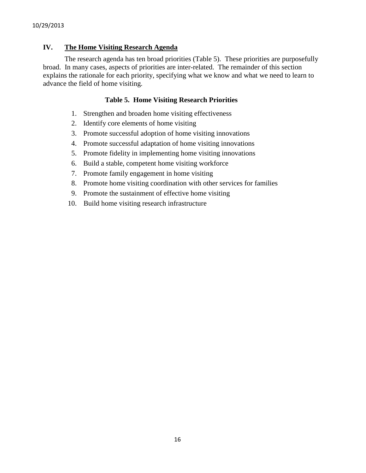# **IV. The Home Visiting Research Agenda**

The research agenda has ten broad priorities (Table 5). These priorities are purposefully broad. In many cases, aspects of priorities are inter-related. The remainder of this section explains the rationale for each priority, specifying what we know and what we need to learn to advance the field of home visiting.

## **Table 5. Home Visiting Research Priorities**

- 1. Strengthen and broaden home visiting effectiveness
- 2. Identify core elements of home visiting
- 3. Promote successful adoption of home visiting innovations
- 4. Promote successful adaptation of home visiting innovations
- 5. Promote fidelity in implementing home visiting innovations
- 6. Build a stable, competent home visiting workforce
- 7. Promote family engagement in home visiting
- 8. Promote home visiting coordination with other services for families
- 9. Promote the sustainment of effective home visiting
- 10. Build home visiting research infrastructure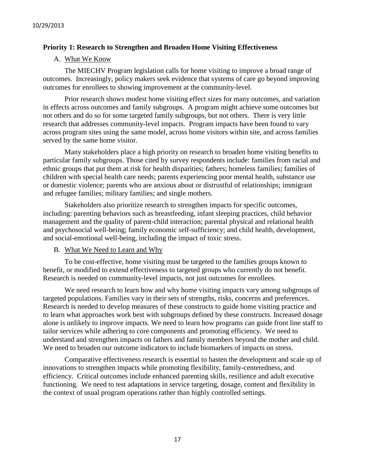## **Priority 1: Research to Strengthen and Broaden Home Visiting Effectiveness**

# A. What We Know

The MIECHV Program legislation calls for home visiting to improve a broad range of outcomes. Increasingly, policy makers seek evidence that systems of care go beyond improving outcomes for enrollees to showing improvement at the community-level.

Prior research shows modest home visiting effect sizes for many outcomes, and variation in effects across outcomes and family subgroups. A program might achieve some outcomes but not others and do so for some targeted family subgroups, but not others. There is very little research that addresses community-level impacts. Program impacts have been found to vary across program sites using the same model, across home visitors within site, and across families served by the same home visitor.

Many stakeholders place a high priority on research to broaden home visiting benefits to particular family subgroups. Those cited by survey respondents include: families from racial and ethnic groups that put them at risk for health disparities; fathers; homeless families; families of children with special health care needs; parents experiencing poor mental health, substance use or domestic violence; parents who are anxious about or distrustful of relationships; immigrant and refugee families; military families; and single mothers.

Stakeholders also prioritize research to strengthen impacts for specific outcomes, including: parenting behaviors such as breastfeeding, infant sleeping practices, child behavior management and the quality of parent-child interaction; parental physical and relational health and psychosocial well-being; family economic self-sufficiency; and child health, development, and social-emotional well-being, including the impact of toxic stress.

# B. What We Need to Learn and Why

To be cost-effective, home visiting must be targeted to the families groups known to benefit, or modified to extend effectiveness to targeted groups who currently do not benefit. Research is needed on community-level impacts, not just outcomes for enrollees.

We need research to learn how and why home visiting impacts vary among subgroups of targeted populations. Families vary in their sets of strengths, risks, concerns and preferences. Research is needed to develop measures of these constructs to guide home visiting practice and to learn what approaches work best with subgroups defined by these constructs. Increased dosage alone is unlikely to improve impacts. We need to learn how programs can guide front line staff to tailor services while adhering to core components and promoting efficiency. We need to understand and strengthen impacts on fathers and family members beyond the mother and child. We need to broaden our outcome indicators to include biomarkers of impacts on stress.

Comparative effectiveness research is essential to hasten the development and scale up of innovations to strengthen impacts while promoting flexibility, family-centeredness, and efficiency. Critical outcomes include enhanced parenting skills, resilience and adult executive functioning. We need to test adaptations in service targeting, dosage, content and flexibility in the context of usual program operations rather than highly controlled settings.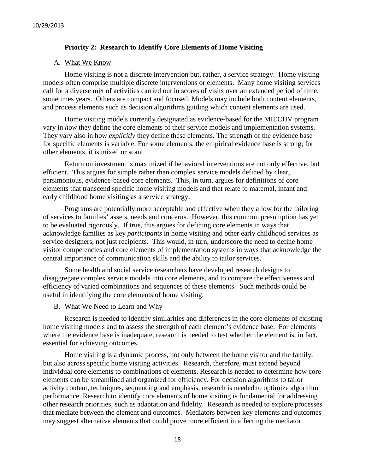#### **Priority 2: Research to Identify Core Elements of Home Visiting**

## A. What We Know

Home visiting is not a discrete intervention but, rather, a service strategy. Home visiting models often comprise multiple discrete interventions or elements. Many home visiting services call for a diverse mix of activities carried out in scores of visits over an extended period of time, sometimes years. Others are compact and focused. Models may include both content elements, and process elements such as decision algorithms guiding which content elements are used.

Home visiting models currently designated as evidence-based for the MIECHV program vary in *how* they define the core elements of their service models and implementation systems. They vary also in how *explicitly* they define these elements. The strength of the evidence base for specific elements is variable. For some elements, the empirical evidence base is strong; for other elements, it is mixed or scant.

Return on investment is maximized if behavioral interventions are not only effective, but efficient. This argues for simple rather than complex service models defined by clear, parsimonious, evidence-based core elements. This, in turn, argues for definitions of core elements that transcend specific home visiting models and that relate to maternal, infant and early childhood home visiting as a service strategy.

Programs are potentially more acceptable and effective when they allow for the tailoring of services to families' assets, needs and concerns. However, this common presumption has yet to be evaluated rigorously. If true, this argues for defining core elements in ways that acknowledge families as key *participants* in home visiting and other early childhood services as service designers, not just recipients. This would, in turn, underscore the need to define home visitor competencies and core elements of implementation systems in ways that acknowledge the central importance of communication skills and the ability to tailor services.

Some health and social service researchers have developed research designs to disaggregate complex service models into core elements, and to compare the effectiveness and efficiency of varied combinations and sequences of these elements. Such methods could be useful in identifying the core elements of home visiting.

#### B. What We Need to Learn and Why

Research is needed to identify similarities and differences in the core elements of existing home visiting models and to assess the strength of each element's evidence base. For elements where the evidence base is inadequate, research is needed to test whether the element is, in fact, essential for achieving outcomes.

Home visiting is a dynamic process, not only between the home visitor and the family, but also across specific home visiting activities. Research, therefore, must extend beyond individual core elements to combinations of elements. Research is needed to determine how core elements can be streamlined and organized for efficiency. For decision algorithms to tailor activity content, techniques, sequencing and emphasis, research is needed to optimize algorithm performance. Research to identify core elements of home visiting is fundamental for addressing other research priorities, such as adaptation and fidelity. Research is needed to explore processes that mediate between the element and outcomes. Mediators between key elements and outcomes may suggest alternative elements that could prove more efficient in affecting the mediator.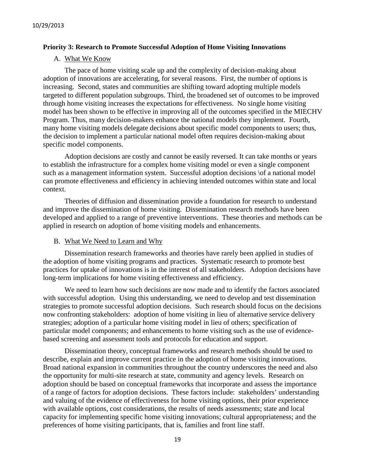#### **Priority 3: Research to Promote Successful Adoption of Home Visiting Innovations**

#### A. What We Know

The pace of home visiting scale up and the complexity of decision-making about adoption of innovations are accelerating, for several reasons. First, the number of options is increasing. Second, states and communities are shifting toward adopting multiple models targeted to different population subgroups. Third, the broadened set of outcomes to be improved through home visiting increases the expectations for effectiveness. No single home visiting model has been shown to be effective in improving all of the outcomes specified in the MIECHV Program. Thus, many decision-makers enhance the national models they implement. Fourth, many home visiting models delegate decisions about specific model components to users; thus, the decision to implement a particular national model often requires decision-making about specific model components.

Adoption decisions are costly and cannot be easily reversed. It can take months or years to establish the infrastructure for a complex home visiting model or even a single component such as a management information system. Successful adoption decisions \of a national model can promote effectiveness and efficiency in achieving intended outcomes within state and local context.

Theories of diffusion and dissemination provide a foundation for research to understand and improve the dissemination of home visiting. Dissemination research methods have been developed and applied to a range of preventive interventions. These theories and methods can be applied in research on adoption of home visiting models and enhancements.

## B. What We Need to Learn and Why

Dissemination research frameworks and theories have rarely been applied in studies of the adoption of home visiting programs and practices. Systematic research to promote best practices for uptake of innovations is in the interest of all stakeholders. Adoption decisions have long-term implications for home visiting effectiveness and efficiency.

We need to learn how such decisions are now made and to identify the factors associated with successful adoption. Using this understanding, we need to develop and test dissemination strategies to promote successful adoption decisions. Such research should focus on the decisions now confronting stakeholders: adoption of home visiting in lieu of alternative service delivery strategies; adoption of a particular home visiting model in lieu of others; specification of particular model components; and enhancements to home visiting such as the use of evidencebased screening and assessment tools and protocols for education and support.

Dissemination theory, conceptual frameworks and research methods should be used to describe, explain and improve current practice in the adoption of home visiting innovations. Broad national expansion in communities throughout the country underscores the need and also the opportunity for multi-site research at state, community and agency levels. Research on adoption should be based on conceptual frameworks that incorporate and assess the importance of a range of factors for adoption decisions. These factors include: stakeholders' understanding and valuing of the evidence of effectiveness for home visiting options, their prior experience with available options, cost considerations, the results of needs assessments; state and local capacity for implementing specific home visiting innovations; cultural appropriateness; and the preferences of home visiting participants, that is, families and front line staff.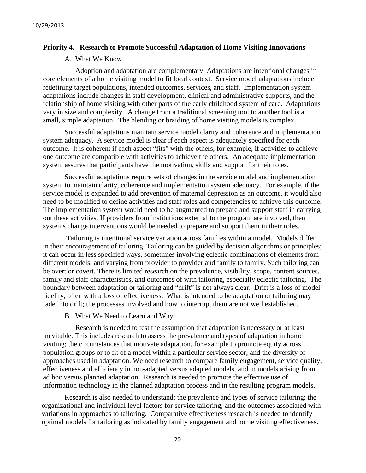#### **Priority 4. Research to Promote Successful Adaptation of Home Visiting Innovations**

#### A. What We Know

Adoption and adaptation are complementary. Adaptations are intentional changes in core elements of a home visiting model to fit local context. Service model adaptations include redefining target populations, intended outcomes, services, and staff. Implementation system adaptations include changes in staff development, clinical and administrative supports, and the relationship of home visiting with other parts of the early childhood system of care. Adaptations vary in size and complexity. A change from a traditional screening tool to another tool is a small, simple adaptation. The blending or braiding of home visiting models is complex.

Successful adaptations maintain service model clarity and coherence and implementation system adequacy. A service model is clear if each aspect is adequately specified for each outcome. It is coherent if each aspect "fits" with the others, for example, if activities to achieve one outcome are compatible with activities to achieve the others. An adequate implementation system assures that participants have the motivation, skills and support for their roles.

Successful adaptations require sets of changes in the service model and implementation system to maintain clarity, coherence and implementation system adequacy. For example, if the service model is expanded to add prevention of maternal depression as an outcome, it would also need to be modified to define activities and staff roles and competencies to achieve this outcome. The implementation system would need to be augmented to prepare and support staff in carrying out these activities. If providers from institutions external to the program are involved, then systems change interventions would be needed to prepare and support them in their roles.

Tailoring is intentional service variation across families within a model. Models differ in their encouragement of tailoring. Tailoring can be guided by decision algorithms or principles; it can occur in less specified ways, sometimes involving eclectic combinations of elements from different models, and varying from provider to provider and family to family. Such tailoring can be overt or covert. There is limited research on the prevalence, visibility, scope, content sources, family and staff characteristics, and outcomes of with tailoring, especially eclectic tailoring. The boundary between adaptation or tailoring and "drift" is not always clear. Drift is a loss of model fidelity, often with a loss of effectiveness. What is intended to be adaptation or tailoring may fade into drift; the processes involved and how to interrupt them are not well established.

#### B. What We Need to Learn and Why

Research is needed to test the assumption that adaptation is necessary or at least inevitable. This includes research to assess the prevalence and types of adaptation in home visiting; the circumstances that motivate adaptation, for example to promote equity across population groups or to fit of a model within a particular service sector; and the diversity of approaches used in adaptation. We need research to compare family engagement, service quality, effectiveness and efficiency in non-adapted versus adapted models, and in models arising from ad hoc versus planned adaptation. Research is needed to promote the effective use of information technology in the planned adaptation process and in the resulting program models.

Research is also needed to understand: the prevalence and types of service tailoring; the organizational and individual level factors for service tailoring; and the outcomes associated with variations in approaches to tailoring. Comparative effectiveness research is needed to identify optimal models for tailoring as indicated by family engagement and home visiting effectiveness.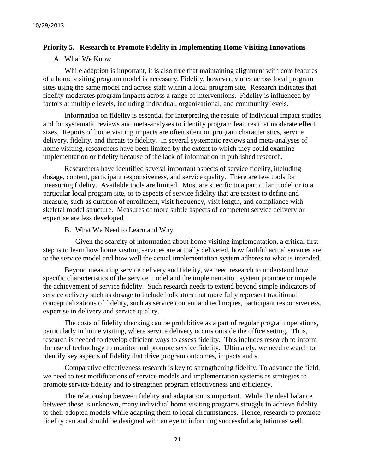## **Priority 5. Research to Promote Fidelity in Implementing Home Visiting Innovations**

#### A. What We Know

While adaption is important, it is also true that maintaining alignment with core features of a home visiting program model is necessary. Fidelity, however, varies across local program sites using the same model and across staff within a local program site. Research indicates that fidelity moderates program impacts across a range of interventions. Fidelity is influenced by factors at multiple levels, including individual, organizational, and community levels.

Information on fidelity is essential for interpreting the results of individual impact studies and for systematic reviews and meta-analyses to identify program features that moderate effect sizes. Reports of home visiting impacts are often silent on program characteristics, service delivery, fidelity, and threats to fidelity. In several systematic reviews and meta-analyses of home visiting, researchers have been limited by the extent to which they could examine implementation or fidelity because of the lack of information in published research.

Researchers have identified several important aspects of service fidelity, including dosage, content, participant responsiveness, and service quality. There are few tools for measuring fidelity. Available tools are limited. Most are specific to a particular model or to a particular local program site, or to aspects of service fidelity that are easiest to define and measure, such as duration of enrollment, visit frequency, visit length, and compliance with skeletal model structure. Measures of more subtle aspects of competent service delivery or expertise are less developed

#### B. What We Need to Learn and Why

Given the scarcity of information about home visiting implementation, a critical first step is to learn how home visiting services are actually delivered, how faithful actual services are to the service model and how well the actual implementation system adheres to what is intended.

Beyond measuring service delivery and fidelity, we need research to understand how specific characteristics of the service model and the implementation system promote or impede the achievement of service fidelity. Such research needs to extend beyond simple indicators of service delivery such as dosage to include indicators that more fully represent traditional conceptualizations of fidelity, such as service content and techniques, participant responsiveness, expertise in delivery and service quality.

The costs of fidelity checking can be prohibitive as a part of regular program operations, particularly in home visiting, where service delivery occurs outside the office setting. Thus, research is needed to develop efficient ways to assess fidelity. This includes research to inform the use of technology to monitor and promote service fidelity. Ultimately, we need research to identify key aspects of fidelity that drive program outcomes, impacts and s.

Comparative effectiveness research is key to strengthening fidelity. To advance the field, we need to test modifications of service models and implementation systems as strategies to promote service fidelity and to strengthen program effectiveness and efficiency.

The relationship between fidelity and adaptation is important. While the ideal balance between these is unknown, many individual home visiting programs struggle to achieve fidelity to their adopted models while adapting them to local circumstances. Hence, research to promote fidelity can and should be designed with an eye to informing successful adaptation as well.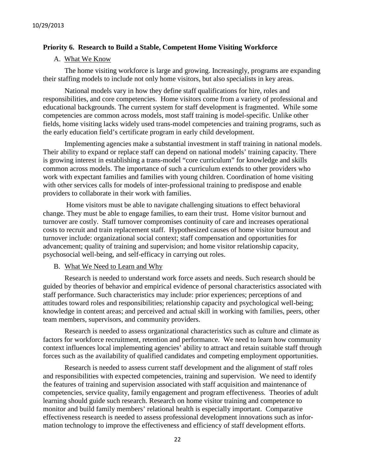## **Priority 6. Research to Build a Stable, Competent Home Visiting Workforce**

### A. What We Know

The home visiting workforce is large and growing. Increasingly, programs are expanding their staffing models to include not only home visitors, but also specialists in key areas.

National models vary in how they define staff qualifications for hire, roles and responsibilities, and core competencies. Home visitors come from a variety of professional and educational backgrounds. The current system for staff development is fragmented. While some competencies are common across models, most staff training is model-specific. Unlike other fields, home visiting lacks widely used trans-model competencies and training programs, such as the early education field's certificate program in early child development.

Implementing agencies make a substantial investment in staff training in national models. Their ability to expand or replace staff can depend on national models' training capacity. There is growing interest in establishing a trans-model "core curriculum" for knowledge and skills common across models. The importance of such a curriculum extends to other providers who work with expectant families and families with young children. Coordination of home visiting with other services calls for models of inter-professional training to predispose and enable providers to collaborate in their work with families.

Home visitors must be able to navigate challenging situations to effect behavioral change. They must be able to engage families, to earn their trust. Home visitor burnout and turnover are costly. Staff turnover compromises continuity of care and increases operational costs to recruit and train replacement staff. Hypothesized causes of home visitor burnout and turnover include: organizational social context; staff compensation and opportunities for advancement; quality of training and supervision; and home visitor relationship capacity, psychosocial well-being, and self-efficacy in carrying out roles.

#### B. What We Need to Learn and Why

Research is needed to understand work force assets and needs. Such research should be guided by theories of behavior and empirical evidence of personal characteristics associated with staff performance. Such characteristics may include: prior experiences; perceptions of and attitudes toward roles and responsibilities; relationship capacity and psychological well-being; knowledge in content areas; and perceived and actual skill in working with families, peers, other team members, supervisors, and community providers.

Research is needed to assess organizational characteristics such as culture and climate as factors for workforce recruitment, retention and performance. We need to learn how community context influences local implementing agencies' ability to attract and retain suitable staff through forces such as the availability of qualified candidates and competing employment opportunities.

Research is needed to assess current staff development and the alignment of staff roles and responsibilities with expected competencies, training and supervision. We need to identify the features of training and supervision associated with staff acquisition and maintenance of competencies, service quality, family engagement and program effectiveness. Theories of adult learning should guide such research. Research on home visitor training and competence to monitor and build family members' relational health is especially important. Comparative effectiveness research is needed to assess professional development innovations such as information technology to improve the effectiveness and efficiency of staff development efforts.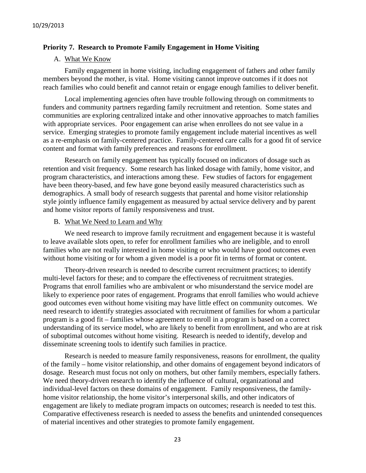#### **Priority 7. Research to Promote Family Engagement in Home Visiting**

#### A. What We Know

Family engagement in home visiting, including engagement of fathers and other family members beyond the mother, is vital. Home visiting cannot improve outcomes if it does not reach families who could benefit and cannot retain or engage enough families to deliver benefit.

Local implementing agencies often have trouble following through on commitments to funders and community partners regarding family recruitment and retention. Some states and communities are exploring centralized intake and other innovative approaches to match families with appropriate services. Poor engagement can arise when enrollees do not see value in a service. Emerging strategies to promote family engagement include material incentives as well as a re-emphasis on family-centered practice. Family-centered care calls for a good fit of service content and format with family preferences and reasons for enrollment.

Research on family engagement has typically focused on indicators of dosage such as retention and visit frequency. Some research has linked dosage with family, home visitor, and program characteristics, and interactions among these. Few studies of factors for engagement have been theory-based, and few have gone beyond easily measured characteristics such as demographics. A small body of research suggests that parental and home visitor relationship style jointly influence family engagement as measured by actual service delivery and by parent and home visitor reports of family responsiveness and trust.

#### B. What We Need to Learn and Why

We need research to improve family recruitment and engagement because it is wasteful to leave available slots open, to refer for enrollment families who are ineligible, and to enroll families who are not really interested in home visiting or who would have good outcomes even without home visiting or for whom a given model is a poor fit in terms of format or content.

Theory-driven research is needed to describe current recruitment practices; to identify multi-level factors for these; and to compare the effectiveness of recruitment strategies. Programs that enroll families who are ambivalent or who misunderstand the service model are likely to experience poor rates of engagement. Programs that enroll families who would achieve good outcomes even without home visiting may have little effect on community outcomes. We need research to identify strategies associated with recruitment of families for whom a particular program is a good fit – families whose agreement to enroll in a program is based on a correct understanding of its service model, who are likely to benefit from enrollment, and who are at risk of suboptimal outcomes without home visiting. Research is needed to identify, develop and disseminate screening tools to identify such families in practice.

Research is needed to measure family responsiveness, reasons for enrollment, the quality of the family – home visitor relationship, and other domains of engagement beyond indicators of dosage. Research must focus not only on mothers, but other family members, especially fathers. We need theory-driven research to identify the influence of cultural, organizational and individual-level factors on these domains of engagement. Family responsiveness, the familyhome visitor relationship, the home visitor's interpersonal skills, and other indicators of engagement are likely to mediate program impacts on outcomes; research is needed to test this. Comparative effectiveness research is needed to assess the benefits and unintended consequences of material incentives and other strategies to promote family engagement.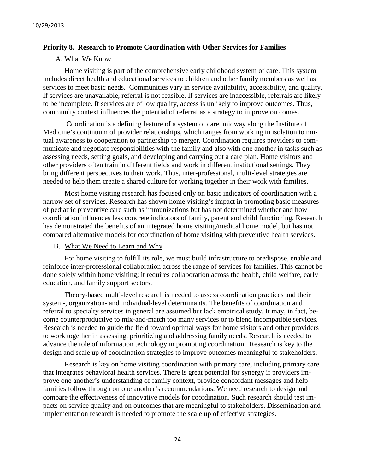## **Priority 8. Research to Promote Coordination with Other Services for Families**

#### A. What We Know

Home visiting is part of the comprehensive early childhood system of care. This system includes direct health and educational services to children and other family members as well as services to meet basic needs. Communities vary in service availability, accessibility, and quality. If services are unavailable, referral is not feasible. If services are inaccessible, referrals are likely to be incomplete. If services are of low quality, access is unlikely to improve outcomes. Thus, community context influences the potential of referral as a strategy to improve outcomes.

Coordination is a defining feature of a system of care, midway along the Institute of Medicine's continuum of provider relationships, which ranges from working in isolation to mutual awareness to cooperation to partnership to merger. Coordination requires providers to communicate and negotiate responsibilities with the family and also with one another in tasks such as assessing needs, setting goals, and developing and carrying out a care plan. Home visitors and other providers often train in different fields and work in different institutional settings. They bring different perspectives to their work. Thus, inter-professional, multi-level strategies are needed to help them create a shared culture for working together in their work with families.

Most home visiting research has focused only on basic indicators of coordination with a narrow set of services. Research has shown home visiting's impact in promoting basic measures of pediatric preventive care such as immunizations but has not determined whether and how coordination influences less concrete indicators of family, parent and child functioning. Research has demonstrated the benefits of an integrated home visiting/medical home model, but has not compared alternative models for coordination of home visiting with preventive health services.

#### B. What We Need to Learn and Why

For home visiting to fulfill its role, we must build infrastructure to predispose, enable and reinforce inter-professional collaboration across the range of services for families. This cannot be done solely within home visiting; it requires collaboration across the health, child welfare, early education, and family support sectors.

Theory-based multi-level research is needed to assess coordination practices and their system-, organization- and individual-level determinants. The benefits of coordination and referral to specialty services in general are assumed but lack empirical study. It may, in fact, become counterproductive to mix-and-match too many services or to blend incompatible services. Research is needed to guide the field toward optimal ways for home visitors and other providers to work together in assessing, prioritizing and addressing family needs. Research is needed to advance the role of information technology in promoting coordination. Research is key to the design and scale up of coordination strategies to improve outcomes meaningful to stakeholders.

Research is key on home visiting coordination with primary care, including primary care that integrates behavioral health services. There is great potential for synergy if providers improve one another's understanding of family context, provide concordant messages and help families follow through on one another's recommendations. We need research to design and compare the effectiveness of innovative models for coordination. Such research should test impacts on service quality and on outcomes that are meaningful to stakeholders. Dissemination and implementation research is needed to promote the scale up of effective strategies.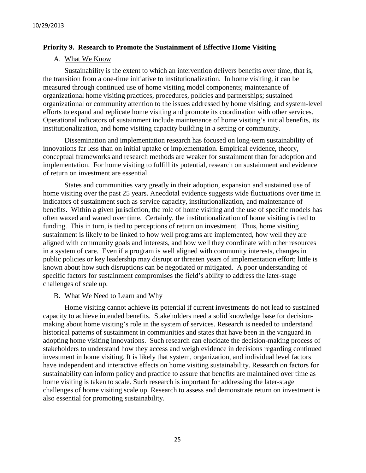#### **Priority 9. Research to Promote the Sustainment of Effective Home Visiting**

#### A. What We Know

Sustainability is the extent to which an intervention delivers benefits over time, that is, the transition from a one-time initiative to institutionalization. In home visiting, it can be measured through continued use of home visiting model components; maintenance of organizational home visiting practices, procedures, policies and partnerships; sustained organizational or community attention to the issues addressed by home visiting; and system-level efforts to expand and replicate home visiting and promote its coordination with other services. Operational indicators of sustainment include maintenance of home visiting's initial benefits, its institutionalization, and home visiting capacity building in a setting or community.

Dissemination and implementation research has focused on long-term sustainability of innovations far less than on initial uptake or implementation. Empirical evidence, theory, conceptual frameworks and research methods are weaker for sustainment than for adoption and implementation. For home visiting to fulfill its potential, research on sustainment and evidence of return on investment are essential.

States and communities vary greatly in their adoption, expansion and sustained use of home visiting over the past 25 years. Anecdotal evidence suggests wide fluctuations over time in indicators of sustainment such as service capacity, institutionalization, and maintenance of benefits. Within a given jurisdiction, the role of home visiting and the use of specific models has often waxed and waned over time. Certainly, the institutionalization of home visiting is tied to funding. This in turn, is tied to perceptions of return on investment. Thus, home visiting sustainment is likely to be linked to how well programs are implemented, how well they are aligned with community goals and interests, and how well they coordinate with other resources in a system of care. Even if a program is well aligned with community interests, changes in public policies or key leadership may disrupt or threaten years of implementation effort; little is known about how such disruptions can be negotiated or mitigated. A poor understanding of specific factors for sustainment compromises the field's ability to address the later-stage challenges of scale up.

#### B. What We Need to Learn and Why

Home visiting cannot achieve its potential if current investments do not lead to sustained capacity to achieve intended benefits. Stakeholders need a solid knowledge base for decisionmaking about home visiting's role in the system of services. Research is needed to understand historical patterns of sustainment in communities and states that have been in the vanguard in adopting home visiting innovations. Such research can elucidate the decision-making process of stakeholders to understand how they access and weigh evidence in decisions regarding continued investment in home visiting. It is likely that system, organization, and individual level factors have independent and interactive effects on home visiting sustainability. Research on factors for sustainability can inform policy and practice to assure that benefits are maintained over time as home visiting is taken to scale. Such research is important for addressing the later-stage challenges of home visiting scale up. Research to assess and demonstrate return on investment is also essential for promoting sustainability.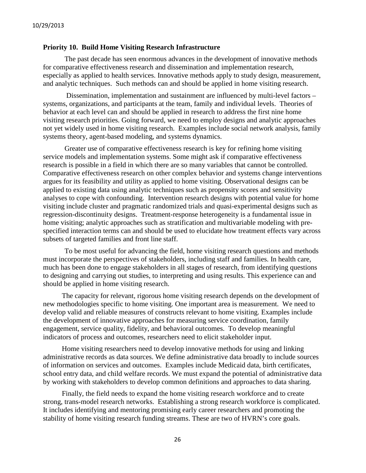#### **Priority 10. Build Home Visiting Research Infrastructure**

The past decade has seen enormous advances in the development of innovative methods for comparative effectiveness research and dissemination and implementation research, especially as applied to health services. Innovative methods apply to study design, measurement, and analytic techniques. Such methods can and should be applied in home visiting research.

Dissemination, implementation and sustainment are influenced by multi-level factors – systems, organizations, and participants at the team, family and individual levels. Theories of behavior at each level can and should be applied in research to address the first nine home visiting research priorities. Going forward, we need to employ designs and analytic approaches not yet widely used in home visiting research. Examples include social network analysis, family systems theory, agent-based modeling, and systems dynamics.

Greater use of comparative effectiveness research is key for refining home visiting service models and implementation systems. Some might ask if comparative effectiveness research is possible in a field in which there are so many variables that cannot be controlled. Comparative effectiveness research on other complex behavior and systems change interventions argues for its feasibility and utility as applied to home visiting. Observational designs can be applied to existing data using analytic techniques such as propensity scores and sensitivity analyses to cope with confounding. Intervention research designs with potential value for home visiting include cluster and pragmatic randomized trials and quasi-experimental designs such as regression-discontinuity designs. Treatment-response heterogeneity is a fundamental issue in home visiting; analytic approaches such as stratification and multivariable modeling with prespecified interaction terms can and should be used to elucidate how treatment effects vary across subsets of targeted families and front line staff.

To be most useful for advancing the field, home visiting research questions and methods must incorporate the perspectives of stakeholders, including staff and families. In health care, much has been done to engage stakeholders in all stages of research, from identifying questions to designing and carrying out studies, to interpreting and using results. This experience can and should be applied in home visiting research.

The capacity for relevant, rigorous home visiting research depends on the development of new methodologies specific to home visiting. One important area is measurement. We need to develop valid and reliable measures of constructs relevant to home visiting. Examples include the development of innovative approaches for measuring service coordination, family engagement, service quality, fidelity, and behavioral outcomes. To develop meaningful indicators of process and outcomes, researchers need to elicit stakeholder input.

Home visiting researchers need to develop innovative methods for using and linking administrative records as data sources. We define administrative data broadly to include sources of information on services and outcomes. Examples include Medicaid data, birth certificates, school entry data, and child welfare records. We must expand the potential of administrative data by working with stakeholders to develop common definitions and approaches to data sharing.

Finally, the field needs to expand the home visiting research workforce and to create strong, trans-model research networks. Establishing a strong research workforce is complicated. It includes identifying and mentoring promising early career researchers and promoting the stability of home visiting research funding streams. These are two of HVRN's core goals.